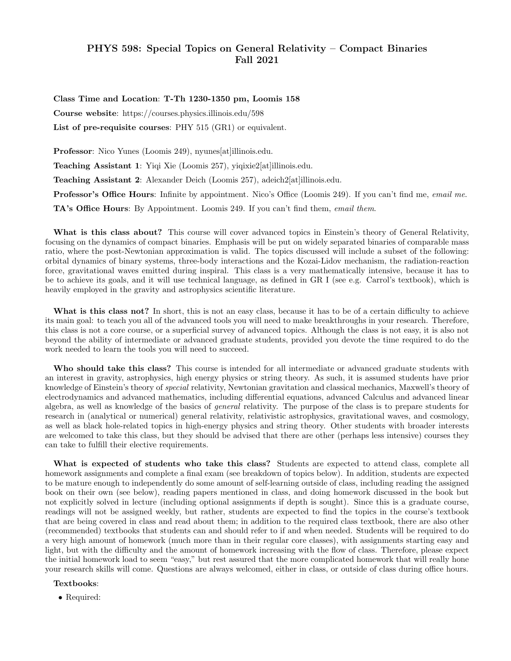# PHYS 598: Special Topics on General Relativity – Compact Binaries Fall 2021

Class Time and Location: T-Th 1230-1350 pm, Loomis 158 Course website: https://courses.physics.illinois.edu/598 List of pre-requisite courses: PHY 515 (GR1) or equivalent.

Professor: Nico Yunes (Loomis 249), nyunes [at]illinois.edu. Teaching Assistant 1: Yiqi Xie (Loomis 257), yiqixie2[at]illinois.edu. Teaching Assistant 2: Alexander Deich (Loomis 257), adeich2[at]illinois.edu. Professor's Office Hours: Infinite by appointment. Nico's Office (Loomis 249). If you can't find me, email me. TA's Office Hours: By Appointment. Loomis 249. If you can't find them, email them.

What is this class about? This course will cover advanced topics in Einstein's theory of General Relativity, focusing on the dynamics of compact binaries. Emphasis will be put on widely separated binaries of comparable mass ratio, where the post-Newtonian approximation is valid. The topics discussed will include a subset of the following: orbital dynamics of binary systems, three-body interactions and the Kozai-Lidov mechanism, the radiation-reaction force, gravitational waves emitted during inspiral. This class is a very mathematically intensive, because it has to be to achieve its goals, and it will use technical language, as defined in GR I (see e.g. Carrol's textbook), which is heavily employed in the gravity and astrophysics scientific literature.

What is this class not? In short, this is not an easy class, because it has to be of a certain difficulty to achieve its main goal: to teach you all of the advanced tools you will need to make breakthroughs in your research. Therefore, this class is not a core course, or a superficial survey of advanced topics. Although the class is not easy, it is also not beyond the ability of intermediate or advanced graduate students, provided you devote the time required to do the work needed to learn the tools you will need to succeed.

Who should take this class? This course is intended for all intermediate or advanced graduate students with an interest in gravity, astrophysics, high energy physics or string theory. As such, it is assumed students have prior knowledge of Einstein's theory of special relativity, Newtonian gravitation and classical mechanics, Maxwell's theory of electrodynamics and advanced mathematics, including differential equations, advanced Calculus and advanced linear algebra, as well as knowledge of the basics of general relativity. The purpose of the class is to prepare students for research in (analytical or numerical) general relativity, relativistic astrophysics, gravitational waves, and cosmology, as well as black hole-related topics in high-energy physics and string theory. Other students with broader interests are welcomed to take this class, but they should be advised that there are other (perhaps less intensive) courses they can take to fulfill their elective requirements.

What is expected of students who take this class? Students are expected to attend class, complete all homework assignments and complete a final exam (see breakdown of topics below). In addition, students are expected to be mature enough to independently do some amount of self-learning outside of class, including reading the assigned book on their own (see below), reading papers mentioned in class, and doing homework discussed in the book but not explicitly solved in lecture (including optional assignments if depth is sought). Since this is a graduate course, readings will not be assigned weekly, but rather, students are expected to find the topics in the course's textbook that are being covered in class and read about them; in addition to the required class textbook, there are also other (recommended) textbooks that students can and should refer to if and when needed. Students will be required to do a very high amount of homework (much more than in their regular core classes), with assignments starting easy and light, but with the difficulty and the amount of homework increasing with the flow of class. Therefore, please expect the initial homework load to seem "easy," but rest assured that the more complicated homework that will really hone your research skills will come. Questions are always welcomed, either in class, or outside of class during office hours.

### Textbooks:

• Required: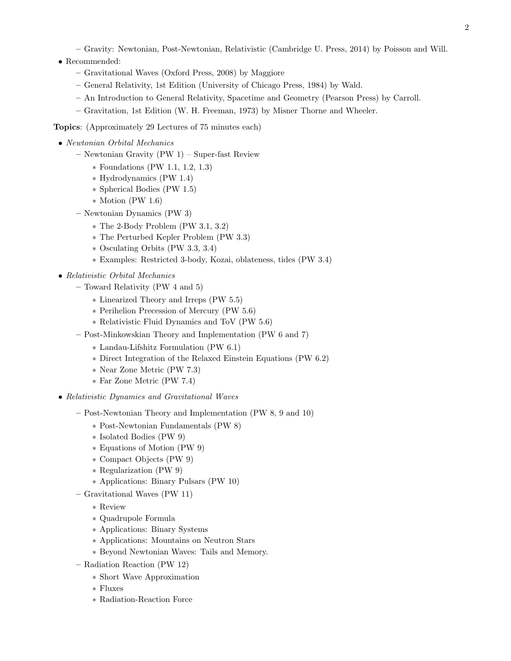- Gravity: Newtonian, Post-Newtonian, Relativistic (Cambridge U. Press, 2014) by Poisson and Will.
- Recommended:
	- Gravitational Waves (Oxford Press, 2008) by Maggiore
	- General Relativity, 1st Edition (University of Chicago Press, 1984) by Wald.
	- An Introduction to General Relativity, Spacetime and Geometry (Pearson Press) by Carroll.
	- Gravitation, 1st Edition (W. H. Freeman, 1973) by Misner Thorne and Wheeler.

### Topics: (Approximately 29 Lectures of 75 minutes each)

- Newtonian Orbital Mechanics
	- Newtonian Gravity (PW 1) Super-fast Review
		- ∗ Foundations (PW 1.1, 1.2, 1.3)
		- ∗ Hydrodynamics (PW 1.4)
		- ∗ Spherical Bodies (PW 1.5)
		- ∗ Motion (PW 1.6)
	- Newtonian Dynamics (PW 3)
		- ∗ The 2-Body Problem (PW 3.1, 3.2)
		- ∗ The Perturbed Kepler Problem (PW 3.3)
		- ∗ Osculating Orbits (PW 3.3, 3.4)
		- ∗ Examples: Restricted 3-body, Kozai, oblateness, tides (PW 3.4)
- Relativistic Orbital Mechanics
	- Toward Relativity (PW 4 and 5)
		- ∗ Linearized Theory and Irreps (PW 5.5)
		- ∗ Perihelion Precession of Mercury (PW 5.6)
		- ∗ Relativistic Fluid Dynamics and ToV (PW 5.6)
	- Post-Minkowskian Theory and Implementation (PW 6 and 7)
		- ∗ Landau-Lifshitz Formulation (PW 6.1)
		- ∗ Direct Integration of the Relaxed Einstein Equations (PW 6.2)
		- ∗ Near Zone Metric (PW 7.3)
		- ∗ Far Zone Metric (PW 7.4)
- Relativistic Dynamics and Gravitational Waves
	- Post-Newtonian Theory and Implementation (PW 8, 9 and 10)
		- ∗ Post-Newtonian Fundamentals (PW 8)
		- ∗ Isolated Bodies (PW 9)
		- ∗ Equations of Motion (PW 9)
		- ∗ Compact Objects (PW 9)
		- ∗ Regularization (PW 9)
		- ∗ Applications: Binary Pulsars (PW 10)
	- Gravitational Waves (PW 11)
		- ∗ Review
		- ∗ Quadrupole Formula
		- ∗ Applications: Binary Systems
		- ∗ Applications: Mountains on Neutron Stars
		- ∗ Beyond Newtonian Waves: Tails and Memory.
	- Radiation Reaction (PW 12)
		- ∗ Short Wave Approximation
		- ∗ Fluxes
		- ∗ Radiation-Reaction Force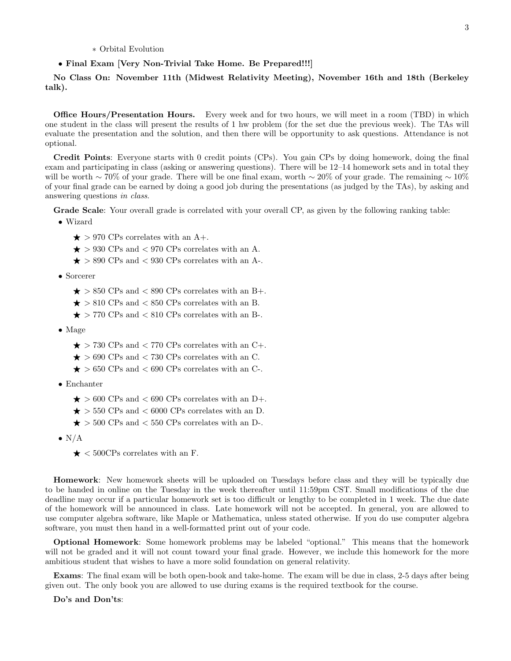## • Final Exam [Very Non-Trivial Take Home. Be Prepared!!!]

No Class On: November 11th (Midwest Relativity Meeting), November 16th and 18th (Berkeley talk).

**Office Hours/Presentation Hours.** Every week and for two hours, we will meet in a room (TBD) in which one student in the class will present the results of 1 hw problem (for the set due the previous week). The TAs will evaluate the presentation and the solution, and then there will be opportunity to ask questions. Attendance is not optional.

Credit Points: Everyone starts with 0 credit points (CPs). You gain CPs by doing homework, doing the final exam and participating in class (asking or answering questions). There will be 12–14 homework sets and in total they will be worth ∼ 70% of your grade. There will be one final exam, worth ∼ 20% of your grade. The remaining ~ 10% of your final grade can be earned by doing a good job during the presentations (as judged by the TAs), by asking and answering questions in class.

Grade Scale: Your overall grade is correlated with your overall CP, as given by the following ranking table:

- Wizard
	- $\star$  > 970 CPs correlates with an A+.
	- $\star$  > 930 CPs and < 970 CPs correlates with an A.
	- $\star$  > 890 CPs and < 930 CPs correlates with an A-.
- Sorcerer
	- $\star$  > 850 CPs and < 890 CPs correlates with an B+.
	- $\star$  > 810 CPs and < 850 CPs correlates with an B.
	- $\star$  > 770 CPs and < 810 CPs correlates with an B-.
- Mage
	- $\star$  > 730 CPs and < 770 CPs correlates with an C+.
	- $\star$  > 690 CPs and < 730 CPs correlates with an C.
	- $\star$  > 650 CPs and < 690 CPs correlates with an C-.
- Enchanter
	- $\star$  > 600 CPs and < 690 CPs correlates with an D+.
	- $\star$  > 550 CPs and < 6000 CPs correlates with an D.
	- $\star$  > 500 CPs and < 550 CPs correlates with an D-.
- $\bullet$  N/A
	- $\star$  < 500CPs correlates with an F.

Homework: New homework sheets will be uploaded on Tuesdays before class and they will be typically due to be handed in online on the Tuesday in the week thereafter until 11:59pm CST. Small modifications of the due deadline may occur if a particular homework set is too difficult or lengthy to be completed in 1 week. The due date of the homework will be announced in class. Late homework will not be accepted. In general, you are allowed to use computer algebra software, like Maple or Mathematica, unless stated otherwise. If you do use computer algebra software, you must then hand in a well-formatted print out of your code.

Optional Homework: Some homework problems may be labeled "optional." This means that the homework will not be graded and it will not count toward your final grade. However, we include this homework for the more ambitious student that wishes to have a more solid foundation on general relativity.

Exams: The final exam will be both open-book and take-home. The exam will be due in class, 2-5 days after being given out. The only book you are allowed to use during exams is the required textbook for the course.

# Do's and Don'ts: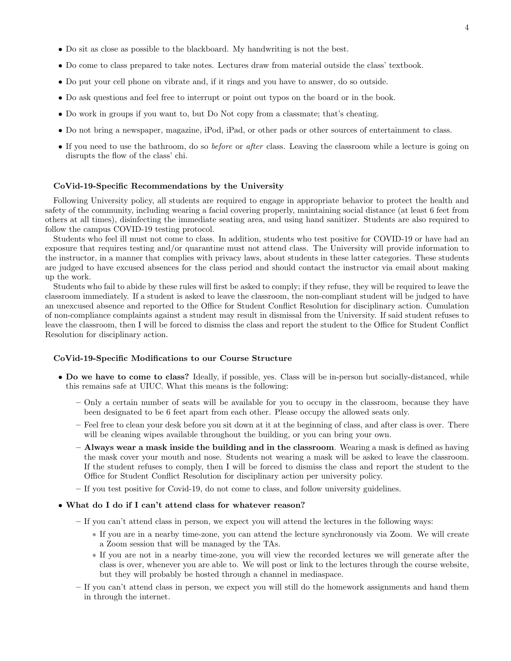- Do sit as close as possible to the blackboard. My handwriting is not the best.
- Do come to class prepared to take notes. Lectures draw from material outside the class' textbook.
- Do put your cell phone on vibrate and, if it rings and you have to answer, do so outside.
- Do ask questions and feel free to interrupt or point out typos on the board or in the book.
- Do work in groups if you want to, but Do Not copy from a classmate; that's cheating.
- Do not bring a newspaper, magazine, iPod, iPad, or other pads or other sources of entertainment to class.
- If you need to use the bathroom, do so *before* or *after* class. Leaving the classroom while a lecture is going on disrupts the flow of the class' chi.

#### CoVid-19-Specific Recommendations by the University

Following University policy, all students are required to engage in appropriate behavior to protect the health and safety of the community, including wearing a facial covering properly, maintaining social distance (at least 6 feet from others at all times), disinfecting the immediate seating area, and using hand sanitizer. Students are also required to follow the campus COVID-19 testing protocol.

Students who feel ill must not come to class. In addition, students who test positive for COVID-19 or have had an exposure that requires testing and/or quarantine must not attend class. The University will provide information to the instructor, in a manner that complies with privacy laws, about students in these latter categories. These students are judged to have excused absences for the class period and should contact the instructor via email about making up the work.

Students who fail to abide by these rules will first be asked to comply; if they refuse, they will be required to leave the classroom immediately. If a student is asked to leave the classroom, the non-compliant student will be judged to have an unexcused absence and reported to the Office for Student Conflict Resolution for disciplinary action. Cumulation of non-compliance complaints against a student may result in dismissal from the University. If said student refuses to leave the classroom, then I will be forced to dismiss the class and report the student to the Office for Student Conflict Resolution for disciplinary action.

### CoVid-19-Specific Modifications to our Course Structure

- Do we have to come to class? Ideally, if possible, yes. Class will be in-person but socially-distanced, while this remains safe at UIUC. What this means is the following:
	- Only a certain number of seats will be available for you to occupy in the classroom, because they have been designated to be 6 feet apart from each other. Please occupy the allowed seats only.
	- Feel free to clean your desk before you sit down at it at the beginning of class, and after class is over. There will be cleaning wipes available throughout the building, or you can bring your own.
	- Always wear a mask inside the building and in the classroom. Wearing a mask is defined as having the mask cover your mouth and nose. Students not wearing a mask will be asked to leave the classroom. If the student refuses to comply, then I will be forced to dismiss the class and report the student to the Office for Student Conflict Resolution for disciplinary action per university policy.
	- If you test positive for Covid-19, do not come to class, and follow university guidelines.
- What do I do if I can't attend class for whatever reason?
	- If you can't attend class in person, we expect you will attend the lectures in the following ways:
		- ∗ If you are in a nearby time-zone, you can attend the lecture synchronously via Zoom. We will create a Zoom session that will be managed by the TAs.
		- ∗ If you are not in a nearby time-zone, you will view the recorded lectures we will generate after the class is over, whenever you are able to. We will post or link to the lectures through the course website, but they will probably be hosted through a channel in mediaspace.
	- If you can't attend class in person, we expect you will still do the homework assignments and hand them in through the internet.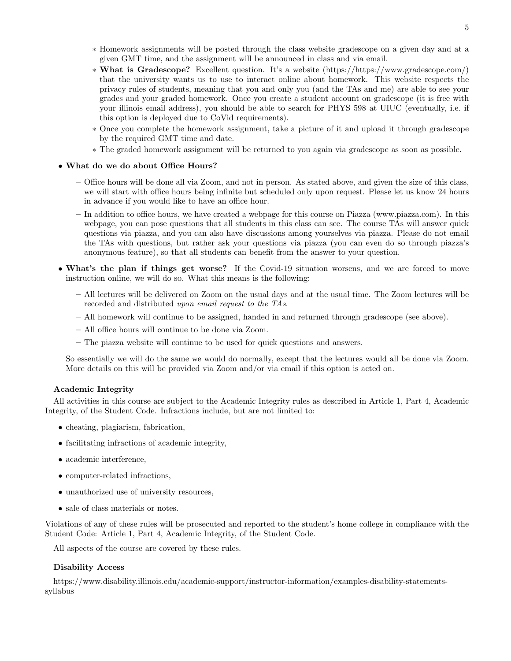- ∗ Homework assignments will be posted through the class website gradescope on a given day and at a given GMT time, and the assignment will be announced in class and via email.
- ∗ What is Gradescope? Excellent question. It's a website (https://https://www.gradescope.com/) that the university wants us to use to interact online about homework. This website respects the privacy rules of students, meaning that you and only you (and the TAs and me) are able to see your grades and your graded homework. Once you create a student account on gradescope (it is free with your illinois email address), you should be able to search for PHYS 598 at UIUC (eventually, i.e. if this option is deployed due to CoVid requirements).
- ∗ Once you complete the homework assignment, take a picture of it and upload it through gradescope by the required GMT time and date.
- ∗ The graded homework assignment will be returned to you again via gradescope as soon as possible.

# • What do we do about Office Hours?

- Office hours will be done all via Zoom, and not in person. As stated above, and given the size of this class, we will start with office hours being infinite but scheduled only upon request. Please let us know 24 hours in advance if you would like to have an office hour.
- In addition to office hours, we have created a webpage for this course on Piazza (www.piazza.com). In this webpage, you can pose questions that all students in this class can see. The course TAs will answer quick questions via piazza, and you can also have discussions among yourselves via piazza. Please do not email the TAs with questions, but rather ask your questions via piazza (you can even do so through piazza's anonymous feature), so that all students can benefit from the answer to your question.
- What's the plan if things get worse? If the Covid-19 situation worsens, and we are forced to move instruction online, we will do so. What this means is the following:
	- All lectures will be delivered on Zoom on the usual days and at the usual time. The Zoom lectures will be recorded and distributed upon email request to the TAs.
	- All homework will continue to be assigned, handed in and returned through gradescope (see above).
	- All office hours will continue to be done via Zoom.
	- The piazza website will continue to be used for quick questions and answers.

So essentially we will do the same we would do normally, except that the lectures would all be done via Zoom. More details on this will be provided via Zoom and/or via email if this option is acted on.

## Academic Integrity

All activities in this course are subject to the Academic Integrity rules as described in Article 1, Part 4, Academic Integrity, of the Student Code. Infractions include, but are not limited to:

- cheating, plagiarism, fabrication,
- facilitating infractions of academic integrity,
- academic interference,
- computer-related infractions,
- unauthorized use of university resources,
- sale of class materials or notes.

Violations of any of these rules will be prosecuted and reported to the student's home college in compliance with the Student Code: Article 1, Part 4, Academic Integrity, of the Student Code.

All aspects of the course are covered by these rules.

### Disability Access

https://www.disability.illinois.edu/academic-support/instructor-information/examples-disability-statementssyllabus